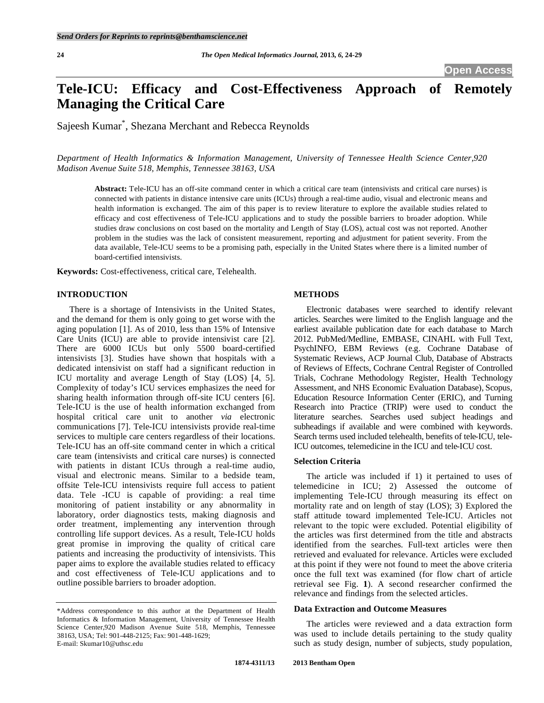# **Tele-ICU: Efficacy and Cost-Effectiveness Approach of Remotely Managing the Critical Care**

Sajeesh Kumar\* , Shezana Merchant and Rebecca Reynolds

*Department of Health Informatics & Information Management, University of Tennessee Health Science Center,920 Madison Avenue Suite 518, Memphis, Tennessee 38163, USA* 

**Abstract:** Tele-ICU has an off-site command center in which a critical care team (intensivists and critical care nurses) is connected with patients in distance intensive care units (ICUs) through a real-time audio, visual and electronic means and health information is exchanged. The aim of this paper is to review literature to explore the available studies related to efficacy and cost effectiveness of Tele-ICU applications and to study the possible barriers to broader adoption. While studies draw conclusions on cost based on the mortality and Length of Stay (LOS), actual cost was not reported. Another problem in the studies was the lack of consistent measurement, reporting and adjustment for patient severity. From the data available, Tele-ICU seems to be a promising path, especially in the United States where there is a limited number of board-certified intensivists.

**Keywords:** Cost-effectiveness, critical care, Telehealth.

## **INTRODUCTION**

 There is a shortage of Intensivists in the United States, and the demand for them is only going to get worse with the aging population [1]. As of 2010, less than 15% of Intensive Care Units (ICU) are able to provide intensivist care [2]. There are 6000 ICUs but only 5500 board-certified intensivists [3]. Studies have shown that hospitals with a dedicated intensivist on staff had a significant reduction in ICU mortality and average Length of Stay (LOS) [4, 5]. Complexity of today's ICU services emphasizes the need for sharing health information through off-site ICU centers [6]. Tele-ICU is the use of health information exchanged from hospital critical care unit to another *via* electronic communications [7]. Tele-ICU intensivists provide real-time services to multiple care centers regardless of their locations. Tele-ICU has an off-site command center in which a critical care team (intensivists and critical care nurses) is connected with patients in distant ICUs through a real-time audio, visual and electronic means. Similar to a bedside team, offsite Tele-ICU intensivists require full access to patient data. Tele -ICU is capable of providing: a real time monitoring of patient instability or any abnormality in laboratory, order diagnostics tests, making diagnosis and order treatment, implementing any intervention through controlling life support devices. As a result, Tele-ICU holds great promise in improving the quality of critical care patients and increasing the productivity of intensivists. This paper aims to explore the available studies related to efficacy and cost effectiveness of Tele-ICU applications and to outline possible barriers to broader adoption.

#### **METHODS**

 Electronic databases were searched to identify relevant articles. Searches were limited to the English language and the earliest available publication date for each database to March 2012. PubMed/Medline, EMBASE, CINAHL with Full Text, PsychINFO, EBM Reviews (e.g. Cochrane Database of Systematic Reviews, ACP Journal Club, Database of Abstracts of Reviews of Effects, Cochrane Central Register of Controlled Trials, Cochrane Methodology Register, Health Technology Assessment, and NHS Economic Evaluation Database), Scopus, Education Resource Information Center (ERIC), and Turning Research into Practice (TRIP) were used to conduct the literature searches. Searches used subject headings and subheadings if available and were combined with keywords. Search terms used included telehealth, benefits of tele-ICU, tele-ICU outcomes, telemedicine in the ICU and tele-ICU cost.

# **Selection Criteria**

 The article was included if 1) it pertained to uses of telemedicine in ICU; 2) Assessed the outcome of implementing Tele-ICU through measuring its effect on mortality rate and on length of stay (LOS); 3) Explored the staff attitude toward implemented Tele-ICU. Articles not relevant to the topic were excluded. Potential eligibility of the articles was first determined from the title and abstracts identified from the searches. Full-text articles were then retrieved and evaluated for relevance. Articles were excluded at this point if they were not found to meet the above criteria once the full text was examined (for flow chart of article retrieval see Fig. **1**). A second researcher confirmed the relevance and findings from the selected articles.

# **Data Extraction and Outcome Measures**

 The articles were reviewed and a data extraction form was used to include details pertaining to the study quality such as study design, number of subjects, study population,

<sup>\*</sup>Address correspondence to this author at the Department of Health Informatics & Information Management, University of Tennessee Health Science Center,920 Madison Avenue Suite 518, Memphis, Tennessee 38163, USA; Tel: 901-448-2125; Fax: 901-448-1629; E-mail: Skumar10@uthsc.edu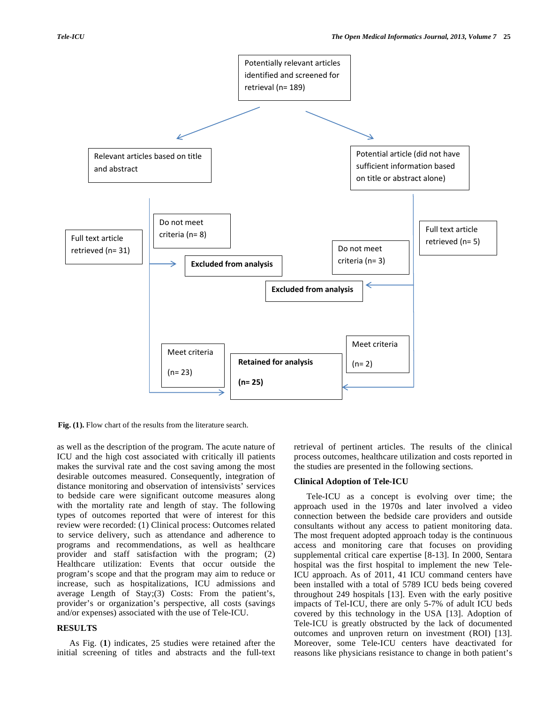

Fig. (1). Flow chart of the results from the literature search.

as well as the description of the program. The acute nature of ICU and the high cost associated with critically ill patients makes the survival rate and the cost saving among the most desirable outcomes measured. Consequently, integration of distance monitoring and observation of intensivists' services to bedside care were significant outcome measures along with the mortality rate and length of stay. The following types of outcomes reported that were of interest for this review were recorded: (1) Clinical process: Outcomes related to service delivery, such as attendance and adherence to programs and recommendations, as well as healthcare provider and staff satisfaction with the program; (2) Healthcare utilization: Events that occur outside the program's scope and that the program may aim to reduce or increase, such as hospitalizations, ICU admissions and average Length of Stay;(3) Costs: From the patient's, provider's or organization's perspective, all costs (savings and/or expenses) associated with the use of Tele-ICU.

### **RESULTS**

 As Fig. (**1**) indicates, 25 studies were retained after the initial screening of titles and abstracts and the full-text

retrieval of pertinent articles. The results of the clinical process outcomes, healthcare utilization and costs reported in the studies are presented in the following sections.

#### **Clinical Adoption of Tele-ICU**

 Tele-ICU as a concept is evolving over time; the approach used in the 1970s and later involved a video connection between the bedside care providers and outside consultants without any access to patient monitoring data. The most frequent adopted approach today is the continuous access and monitoring care that focuses on providing supplemental critical care expertise [8-13]. In 2000, Sentara hospital was the first hospital to implement the new Tele-ICU approach. As of 2011, 41 ICU command centers have been installed with a total of 5789 ICU beds being covered throughout 249 hospitals [13]. Even with the early positive impacts of Tel-ICU, there are only 5-7% of adult ICU beds covered by this technology in the USA [13]. Adoption of Tele-ICU is greatly obstructed by the lack of documented outcomes and unproven return on investment (ROI) [13]. Moreover, some Tele-ICU centers have deactivated for reasons like physicians resistance to change in both patient's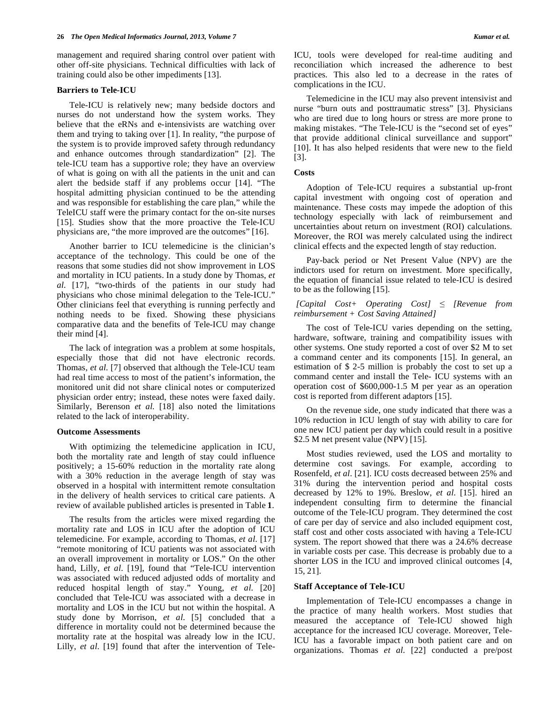management and required sharing control over patient with other off-site physicians. Technical difficulties with lack of training could also be other impediments [13].

# **Barriers to Tele-ICU**

 Tele-ICU is relatively new; many bedside doctors and nurses do not understand how the system works. They believe that the eRNs and e-intensivists are watching over them and trying to taking over [1]. In reality, "the purpose of the system is to provide improved safety through redundancy and enhance outcomes through standardization" [2]. The tele-ICU team has a supportive role; they have an overview of what is going on with all the patients in the unit and can alert the bedside staff if any problems occur [14]. "The hospital admitting physician continued to be the attending and was responsible for establishing the care plan," while the TeleICU staff were the primary contact for the on-site nurses [15]. Studies show that the more proactive the Tele-ICU physicians are, "the more improved are the outcomes" [16].

 Another barrier to ICU telemedicine is the clinician's acceptance of the technology. This could be one of the reasons that some studies did not show improvement in LOS and mortality in ICU patients. In a study done by Thomas, *et al*. [17], "two-thirds of the patients in our study had physicians who chose minimal delegation to the Tele-ICU." Other clinicians feel that everything is running perfectly and nothing needs to be fixed. Showing these physicians comparative data and the benefits of Tele-ICU may change their mind [4].

 The lack of integration was a problem at some hospitals, especially those that did not have electronic records. Thomas, *et al*. [7] observed that although the Tele-ICU team had real time access to most of the patient's information, the monitored unit did not share clinical notes or computerized physician order entry; instead, these notes were faxed daily. Similarly, Berenson *et al*. [18] also noted the limitations related to the lack of interoperability.

#### **Outcome Assessments**

 With optimizing the telemedicine application in ICU, both the mortality rate and length of stay could influence positively; a 15-60% reduction in the mortality rate along with a 30% reduction in the average length of stay was observed in a hospital with intermittent remote consultation in the delivery of health services to critical care patients. A review of available published articles is presented in Table **1**.

 The results from the articles were mixed regarding the mortality rate and LOS in ICU after the adoption of ICU telemedicine. For example, according to Thomas, *et al*. [17] "remote monitoring of ICU patients was not associated with an overall improvement in mortality or LOS." On the other hand, Lilly, *et al*. [19], found that "Tele-ICU intervention was associated with reduced adjusted odds of mortality and reduced hospital length of stay." Young, *et al*. [20] concluded that Tele-ICU was associated with a decrease in mortality and LOS in the ICU but not within the hospital. A study done by Morrison, *et al*. [5] concluded that a difference in mortality could not be determined because the mortality rate at the hospital was already low in the ICU. Lilly, *et al*. [19] found that after the intervention of TeleICU, tools were developed for real-time auditing and reconciliation which increased the adherence to best practices. This also led to a decrease in the rates of complications in the ICU.

 Telemedicine in the ICU may also prevent intensivist and nurse "burn outs and posttraumatic stress" [3]. Physicians who are tired due to long hours or stress are more prone to making mistakes. "The Tele-ICU is the "second set of eyes" that provide additional clinical surveillance and support" [10]. It has also helped residents that were new to the field [3].

#### **Costs**

 Adoption of Tele-ICU requires a substantial up-front capital investment with ongoing cost of operation and maintenance. These costs may impede the adoption of this technology especially with lack of reimbursement and uncertainties about return on investment (ROI) calculations. Moreover, the ROI was merely calculated using the indirect clinical effects and the expected length of stay reduction.

 Pay-back period or Net Present Value (NPV) are the indictors used for return on investment. More specifically, the equation of financial issue related to tele-ICU is desired to be as the following [15].

## *[Capital Cost+ Operating Cost] [Revenue from reimbursement + Cost Saving Attained]*

 The cost of Tele-ICU varies depending on the setting, hardware, software, training and compatibility issues with other systems. One study reported a cost of over \$2 M to set a command center and its components [15]. In general, an estimation of \$ 2-5 million is probably the cost to set up a command center and install the Tele- ICU systems with an operation cost of \$600,000-1.5 M per year as an operation cost is reported from different adaptors [15].

 On the revenue side, one study indicated that there was a 10% reduction in ICU length of stay with ability to care for one new ICU patient per day which could result in a positive \$2.5 M net present value (NPV) [15].

 Most studies reviewed, used the LOS and mortality to determine cost savings. For example, according to Rosenfeld, *et al*. [21]. ICU costs decreased between 25% and 31% during the intervention period and hospital costs decreased by 12% to 19%. Breslow, *et al*. [15]. hired an independent consulting firm to determine the financial outcome of the Tele-ICU program. They determined the cost of care per day of service and also included equipment cost, staff cost and other costs associated with having a Tele-ICU system. The report showed that there was a 24.6% decrease in variable costs per case. This decrease is probably due to a shorter LOS in the ICU and improved clinical outcomes [4, 15, 21].

# **Staff Acceptance of Tele-ICU**

 Implementation of Tele-ICU encompasses a change in the practice of many health workers. Most studies that measured the acceptance of Tele-ICU showed high acceptance for the increased ICU coverage. Moreover, Tele-ICU has a favorable impact on both patient care and on organizations. Thomas *et al.* [22] conducted a pre/post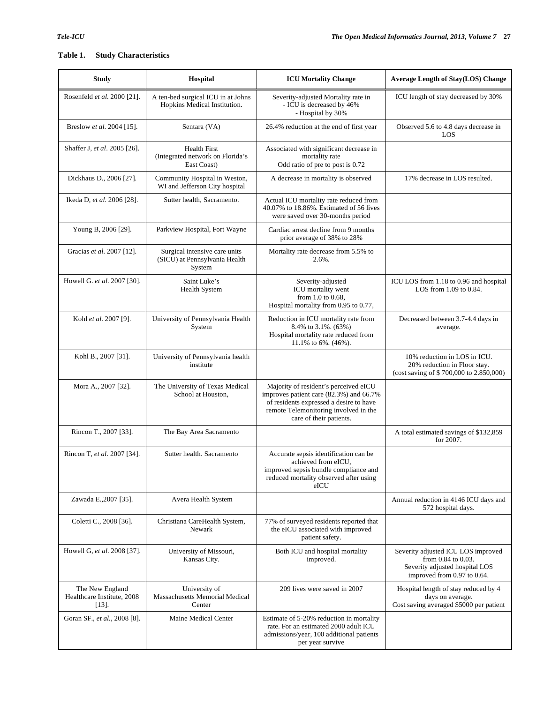# **Table 1. Study Characteristics**

| <b>Study</b>                                              | Hospital                                                                 | <b>ICU Mortality Change</b>                                                                                                                                                                     | <b>Average Length of Stay(LOS) Change</b>                                                                                 |
|-----------------------------------------------------------|--------------------------------------------------------------------------|-------------------------------------------------------------------------------------------------------------------------------------------------------------------------------------------------|---------------------------------------------------------------------------------------------------------------------------|
| Rosenfeld et al. 2000 [21].                               | A ten-bed surgical ICU in at Johns<br>Hopkins Medical Institution.       | Severity-adjusted Mortality rate in<br>- ICU is decreased by 46%<br>- Hospital by 30%                                                                                                           | ICU length of stay decreased by 30%                                                                                       |
| Breslow et al. 2004 [15].                                 | Sentara (VA)                                                             | 26.4% reduction at the end of first year                                                                                                                                                        | Observed 5.6 to 4.8 days decrease in<br>LOS                                                                               |
| Shaffer J, et al. 2005 [26].                              | <b>Health First</b><br>(Integrated network on Florida's<br>East Coast)   | Associated with significant decrease in<br>mortality rate<br>Odd ratio of pre to post is 0.72                                                                                                   |                                                                                                                           |
| Dickhaus D., 2006 [27].                                   | Community Hospital in Weston,<br>WI and Jefferson City hospital          | A decrease in mortality is observed                                                                                                                                                             | 17% decrease in LOS resulted.                                                                                             |
| Ikeda D, et al. 2006 [28].                                | Sutter health, Sacramento.                                               | Actual ICU mortality rate reduced from<br>40.07% to 18.86%. Estimated of 56 lives<br>were saved over 30-months period                                                                           |                                                                                                                           |
| Young B, 2006 [29].                                       | Parkview Hospital, Fort Wayne                                            | Cardiac arrest decline from 9 months<br>prior average of 38% to 28%                                                                                                                             |                                                                                                                           |
| Gracias et al. 2007 [12].                                 | Surgical intensive care units<br>(SICU) at Pennsylvania Health<br>System | Mortality rate decrease from 5.5% to<br>2.6%.                                                                                                                                                   |                                                                                                                           |
| Howell G. et al. 2007 [30].                               | Saint Luke's<br><b>Health System</b>                                     | Severity-adjusted<br>ICU mortality went<br>from 1.0 to 0.68,<br>Hospital mortality from 0.95 to 0.77,                                                                                           | ICU LOS from 1.18 to 0.96 and hospital<br>LOS from $1.09$ to $0.84$ .                                                     |
| Kohl et al. 2007 [9].                                     | University of Pennsylvania Health<br>System                              | Reduction in ICU mortality rate from<br>8.4% to 3.1%. (63%)<br>Hospital mortality rate reduced from<br>11.1% to 6%. (46%).                                                                      | Decreased between 3.7-4.4 days in<br>average.                                                                             |
| Kohl B., 2007 [31].                                       | University of Pennsylvania health<br>institute                           |                                                                                                                                                                                                 | 10% reduction in LOS in ICU.<br>20% reduction in Floor stay.<br>(cost saving of \$700,000 to 2.850,000)                   |
| Mora A., 2007 [32].                                       | The University of Texas Medical<br>School at Houston.                    | Majority of resident's perceived eICU<br>improves patient care (82.3%) and 66.7%<br>of residents expressed a desire to have<br>remote Telemonitoring involved in the<br>care of their patients. |                                                                                                                           |
| Rincon T., 2007 [33].                                     | The Bay Area Sacramento                                                  |                                                                                                                                                                                                 | A total estimated savings of \$132,859<br>for 2007.                                                                       |
| Rincon T, et al. 2007 [34].                               | Sutter health. Sacramento                                                | Accurate sepsis identification can be<br>achieved from eICU,<br>improved sepsis bundle compliance and<br>reduced mortality observed after using<br>eICU                                         |                                                                                                                           |
| Zawada E., 2007 [35].                                     | Avera Health System                                                      |                                                                                                                                                                                                 | Annual reduction in 4146 ICU days and<br>572 hospital days.                                                               |
| Coletti C., 2008 [36].                                    | Christiana CareHealth System,<br>Newark                                  | 77% of surveyed residents reported that<br>the eICU associated with improved<br>patient safety.                                                                                                 |                                                                                                                           |
| Howell G, et al. 2008 [37].                               | University of Missouri,<br>Kansas City.                                  | Both ICU and hospital mortality<br>improved.                                                                                                                                                    | Severity adjusted ICU LOS improved<br>from 0.84 to 0.03.<br>Severity adjusted hospital LOS<br>improved from 0.97 to 0.64. |
| The New England<br>Healthcare Institute, 2008<br>$[13]$ . | University of<br><b>Massachusetts Memorial Medical</b><br>Center         | 209 lives were saved in 2007                                                                                                                                                                    | Hospital length of stay reduced by 4<br>days on average.<br>Cost saving averaged \$5000 per patient                       |
| Goran SF., et al., 2008 [8].                              | Maine Medical Center                                                     | Estimate of 5-20% reduction in mortality<br>rate. For an estimated 2000 adult ICU<br>admissions/year, 100 additional patients<br>per year survive                                               |                                                                                                                           |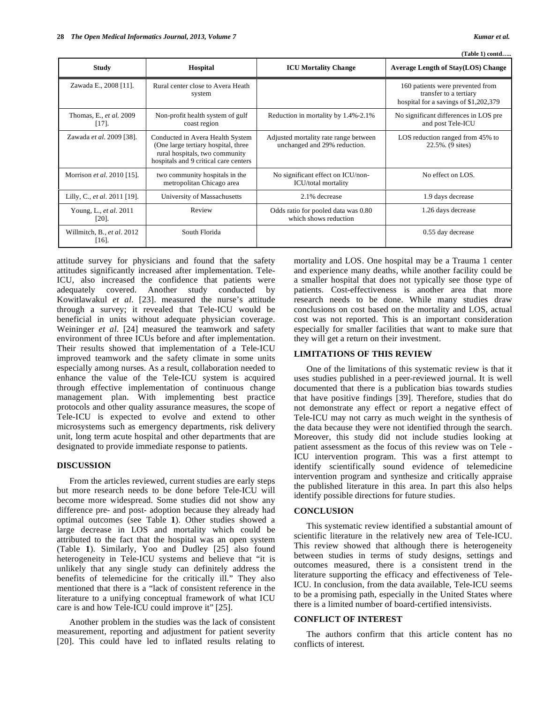**(Table 1) contd…..** 

| <b>Study</b>                           | <b>Hospital</b>                                                                                                                                    | <b>ICU Mortality Change</b>                                           | <b>Average Length of Stay(LOS) Change</b>                                                           |
|----------------------------------------|----------------------------------------------------------------------------------------------------------------------------------------------------|-----------------------------------------------------------------------|-----------------------------------------------------------------------------------------------------|
| Zawada E., 2008 [11].                  | Rural center close to Avera Heath<br>system                                                                                                        |                                                                       | 160 patients were prevented from<br>transfer to a tertiary<br>hospital for a savings of \$1,202,379 |
| Thomas, E., et al. 2009<br>$[17]$ .    | Non-profit health system of gulf<br>coast region                                                                                                   | Reduction in mortality by 1.4%-2.1%                                   | No significant differences in LOS pre<br>and post Tele-ICU                                          |
| Zawada et al. 2009 [38].               | Conducted in Avera Health System<br>(One large tertiary hospital, three<br>rural hospitals, two community<br>hospitals and 9 critical care centers | Adjusted mortality rate range between<br>unchanged and 29% reduction. | LOS reduction ranged from 45% to<br>22.5%. (9 sites)                                                |
| Morrison et al. 2010 [15].             | two community hospitals in the<br>metropolitan Chicago area                                                                                        | No significant effect on ICU/non-<br><b>ICU/total mortality</b>       | No effect on LOS.                                                                                   |
| Lilly, C., <i>et al.</i> 2011 [19].    | University of Massachusetts                                                                                                                        | 2.1% decrease                                                         | 1.9 days decrease                                                                                   |
| Young, L., et al. 2011<br>$[20]$ .     | Review                                                                                                                                             | Odds ratio for pooled data was 0.80<br>which shows reduction          | 1.26 days decrease                                                                                  |
| Willmitch, B., et al. 2012<br>$[16]$ . | South Florida                                                                                                                                      |                                                                       | 0.55 day decrease                                                                                   |

attitude survey for physicians and found that the safety attitudes significantly increased after implementation. Tele-ICU, also increased the confidence that patients were adequately covered. Another study conducted by Kowitlawakul *et al*. [23]. measured the nurse's attitude through a survey; it revealed that Tele-ICU would be beneficial in units without adequate physician coverage. Weininger *et al*. [24] measured the teamwork and safety environment of three ICUs before and after implementation. Their results showed that implementation of a Tele-ICU improved teamwork and the safety climate in some units especially among nurses. As a result, collaboration needed to enhance the value of the Tele-ICU system is acquired through effective implementation of continuous change management plan. With implementing best practice protocols and other quality assurance measures, the scope of Tele-ICU is expected to evolve and extend to other microsystems such as emergency departments, risk delivery unit, long term acute hospital and other departments that are designated to provide immediate response to patients.

#### **DISCUSSION**

 From the articles reviewed, current studies are early steps but more research needs to be done before Tele-ICU will become more widespread. Some studies did not show any difference pre- and post- adoption because they already had optimal outcomes (see Table **1**). Other studies showed a large decrease in LOS and mortality which could be attributed to the fact that the hospital was an open system (Table **1**). Similarly, Yoo and Dudley [25] also found heterogeneity in Tele-ICU systems and believe that "it is unlikely that any single study can definitely address the benefits of telemedicine for the critically ill." They also mentioned that there is a "lack of consistent reference in the literature to a unifying conceptual framework of what ICU care is and how Tele-ICU could improve it" [25].

 Another problem in the studies was the lack of consistent measurement, reporting and adjustment for patient severity [20]. This could have led to inflated results relating to

mortality and LOS. One hospital may be a Trauma 1 center and experience many deaths, while another facility could be a smaller hospital that does not typically see those type of patients. Cost-effectiveness is another area that more research needs to be done. While many studies draw conclusions on cost based on the mortality and LOS, actual cost was not reported. This is an important consideration especially for smaller facilities that want to make sure that they will get a return on their investment.

# **LIMITATIONS OF THIS REVIEW**

 One of the limitations of this systematic review is that it uses studies published in a peer-reviewed journal. It is well documented that there is a publication bias towards studies that have positive findings [39]. Therefore, studies that do not demonstrate any effect or report a negative effect of Tele-ICU may not carry as much weight in the synthesis of the data because they were not identified through the search. Moreover, this study did not include studies looking at patient assessment as the focus of this review was on Tele - ICU intervention program. This was a first attempt to identify scientifically sound evidence of telemedicine intervention program and synthesize and critically appraise the published literature in this area. In part this also helps identify possible directions for future studies.

#### **CONCLUSION**

 This systematic review identified a substantial amount of scientific literature in the relatively new area of Tele-ICU. This review showed that although there is heterogeneity between studies in terms of study designs, settings and outcomes measured, there is a consistent trend in the literature supporting the efficacy and effectiveness of Tele-ICU. In conclusion, from the data available, Tele-ICU seems to be a promising path, especially in the United States where there is a limited number of board-certified intensivists.

# **CONFLICT OF INTEREST**

 The authors confirm that this article content has no conflicts of interest.